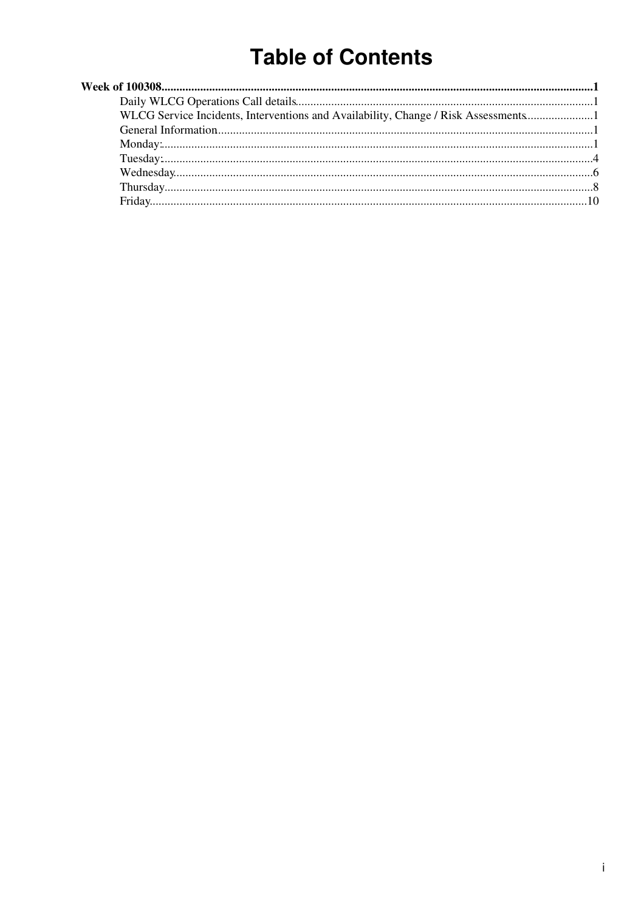# **Table of Contents**

| WLCG Service Incidents, Interventions and Availability, Change / Risk Assessments |
|-----------------------------------------------------------------------------------|
|                                                                                   |
|                                                                                   |
|                                                                                   |
|                                                                                   |
|                                                                                   |
|                                                                                   |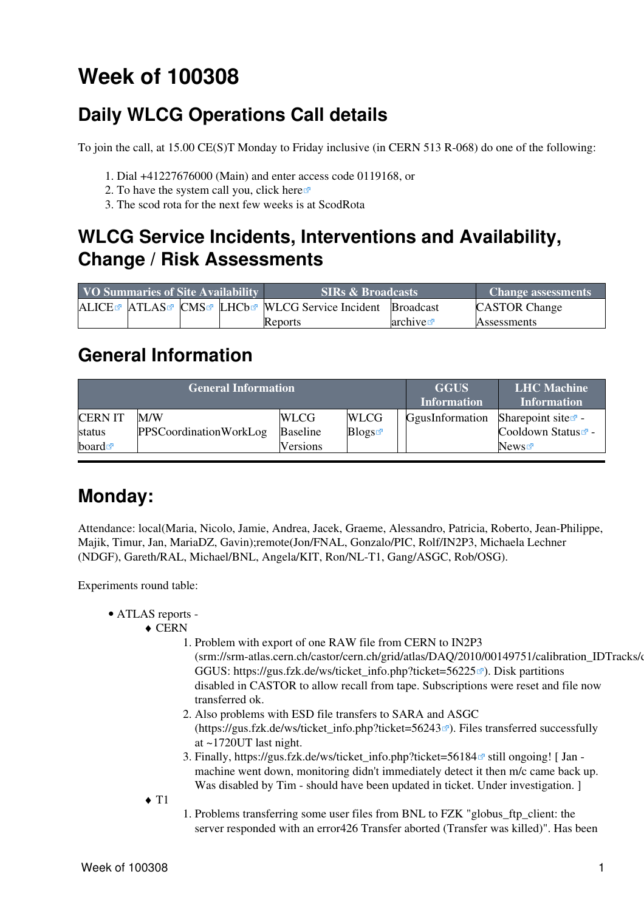# <span id="page-1-0"></span>**Week of 100308**

# <span id="page-1-1"></span>**Daily WLCG Operations Call details**

To join the call, at 15.00 CE(S)T Monday to Friday inclusive (in CERN 513 R-068) do one of the following:

- 1. Dial +41227676000 (Main) and enter access code 0119168, or
- 2. To have the system call you, click [here](https://audioconf.cern.ch/call/0119168) $\Phi$
- 3. The scod rota for the next few weeks is at [ScodRota](https://twiki.cern.ch/twiki/bin/view/LCG/ScodRota)

### <span id="page-1-2"></span>**WLCG Service Incidents, Interventions and Availability, Change / Risk Assessments**

| VO Summaries of Site Availability |  |  | <b>SIRs &amp; Broadcasts</b>                                                                             | <b>Change assessments</b> |                      |
|-----------------------------------|--|--|----------------------------------------------------------------------------------------------------------|---------------------------|----------------------|
|                                   |  |  | ALICE <sup>®</sup> ATLAS <sup>®</sup> CMS <sup>®</sup> LHCb <sup>®</sup> WLCG Service Incident Broadcast |                           | <b>CASTOR Change</b> |
|                                   |  |  | Reports                                                                                                  | arcitive                  | <b>Assessments</b>   |

### <span id="page-1-3"></span>**General Information**

|                          | <b>General Information</b>           | <b>GGUS</b><br><b>Information</b> | <b>LHC</b> Machine<br><b>Information</b> |                 |                                                   |
|--------------------------|--------------------------------------|-----------------------------------|------------------------------------------|-----------------|---------------------------------------------------|
| <b>CERN IT</b><br>status | M/W<br><b>PPSCoordinationWorkLog</b> | <b>WLCG</b><br><b>Baseline</b>    | <b>WLCG</b><br>Blogs                     | GgusInformation | Sharepoint site $\mathbb{Z}$ -<br>Cooldown Status |
| board $\blacksquare$     |                                      | <b>Versions</b>                   |                                          |                 | News $\sigma$                                     |

### <span id="page-1-4"></span>**Monday:**

Attendance: local(Maria, Nicolo, Jamie, Andrea, Jacek, Graeme, Alessandro, Patricia, Roberto, Jean-Philippe, Majik, Timur, Jan, [MariaDZ,](https://twiki.cern.ch/twiki/bin/edit/LCG/MariaDZ?topicparent=LCG.WLCGDailyMeetingsWeek100308;nowysiwyg=1) Gavin);remote(Jon/FNAL, Gonzalo/PIC, Rolf/IN2P3, Michaela Lechner (NDGF), Gareth/RAL, Michael/BNL, Angela/KIT, Ron/NL-T1, Gang/ASGC, Rob/OSG).

Experiments round table:

- ATLAS [reports](https://twiki.cern.ch/twiki/bin/view/Atlas/ADCOperationsDailyReports)  •
	- CERN ♦
		- 1. Problem with export of one RAW file from CERN to [IN2P3](https://twiki.cern.ch/twiki/bin/view/LCG/IN2P3) (srm://srm-atlas.cern.ch/castor/cern.ch/grid/atlas/DAQ/2010/00149751/calibration\_IDTracks/d GGUS: [https://gus.fzk.de/ws/ticket\\_info.php?ticket=56225](https://gus.fzk.de/ws/ticket_info.php?ticket=56225) <sup>®</sup>). Disk partitions disabled in CASTOR to allow recall from tape. Subscriptions were reset and file now
			- transferred ok. Also problems with ESD file transfers to SARA and ASGC 2.  $(\text{https://gus.fzk.de/ws/ticket}$  info.php?ticket=56243 $\textdegree$ . Files transferred successfully at ~1720UT last night.
			- 3. Finally, [https://gus.fzk.de/ws/ticket\\_info.php?ticket=56184](https://gus.fzk.de/ws/ticket_info.php?ticket=56184)<sup>a</sup> still ongoing! [Jan machine went down, monitoring didn't immediately detect it then m/c came back up. Was disabled by Tim - should have been updated in ticket. Under investigation. ]
		- $\triangleleft$  T<sub>1</sub>
- 1. Problems transferring some user files from BNL to FZK "globus\_ftp\_client: the server responded with an error426 Transfer aborted (Transfer was killed)". Has been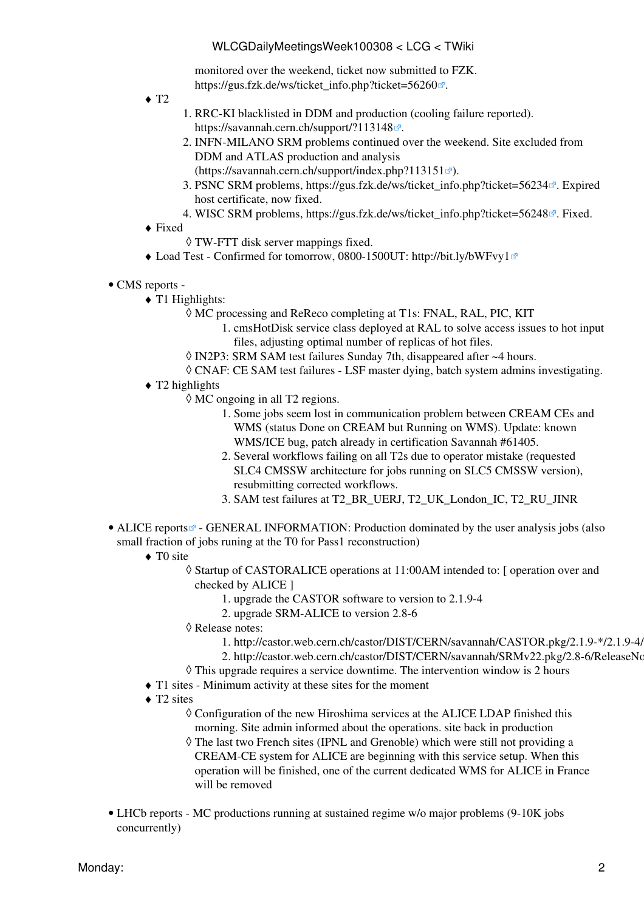monitored over the weekend, ticket now submitted to FZK. [https://gus.fzk.de/ws/ticket\\_info.php?ticket=56260](https://gus.fzk.de/ws/ticket_info.php?ticket=56260) .

- $\triangleleft$  T<sub>2</sub>
- RRC-KI blacklisted in DDM and production (cooling failure reported). 1. <https://savannah.cern.ch/support/?113148><sup>2</sup>.
- 2. INFN-MILANO SRM problems continued over the weekend. Site excluded from DDM and ATLAS production and analysis
- $(https://savannah.cern.ch/support/index.php?113151 \n\mathbb{Z}.$  $(https://savannah.cern.ch/support/index.php?113151 \n\mathbb{Z}.$  $(https://savannah.cern.ch/support/index.php?113151 \n\mathbb{Z}.$
- 3. PSNC SRM problems, [https://gus.fzk.de/ws/ticket\\_info.php?ticket=56234](https://gus.fzk.de/ws/ticket_info.php?ticket=56234)<sup>a</sup>. Expired host certificate, now fixed.
- 4. WISC SRM problems, [https://gus.fzk.de/ws/ticket\\_info.php?ticket=56248](https://gus.fzk.de/ws/ticket_info.php?ticket=56248)<sup> $\alpha$ </sup>. Fixed.
- Fixed ♦
	- ◊ TW-FTT disk server mappings fixed.
- ♦ Load Test Confirmed for tomorrow, 0800-1500UT:<http://bit.ly/bWFvy1>
- CMS [reports](https://twiki.cern.ch/twiki/bin/view/CMS/FacOps_WLCGdailyreports) -
	- T1 Highlights: ♦
		- MC processing and [ReReco](https://twiki.cern.ch/twiki/bin/edit/LCG/ReReco?topicparent=LCG.WLCGDailyMeetingsWeek100308;nowysiwyg=1) completing at T1s: FNAL, [RAL](https://twiki.cern.ch/twiki/bin/view/LCG/RAL), PIC, KIT ◊
			- 1. cmsHotDisk service class deployed at [RAL](https://twiki.cern.ch/twiki/bin/view/LCG/RAL) to solve access issues to hot input files, adjusting optimal number of replicas of hot files.
		- ◊ [IN2P3:](https://twiki.cern.ch/twiki/bin/view/LCG/IN2P3) SRM SAM test failures Sunday 7th, disappeared after ~4 hours.
		- ◊ CNAF: CE SAM test failures [LSF](https://twiki.cern.ch/twiki/bin/view/LCG/LSF) master dying, batch system admins investigating.
	- ◆ T2 highlights
		- MC ongoing in all T2 regions. ◊
			- 1. Some jobs seem lost in communication problem between [CREAM](https://twiki.cern.ch/twiki/bin/view/LCG/CREAM) CEs and WMS (status Done on [CREAM](https://twiki.cern.ch/twiki/bin/view/LCG/CREAM) but Running on WMS). Update: known WMS/ICE bug, patch already in certification Savannah #61405.
			- 2. Several workflows failing on all T2s due to operator mistake (requested SLC4 CMSSW architecture for jobs running on SLC5 CMSSW version), resubmitting corrected workflows.
			- 3. SAM test failures at T2\_BR\_UERJ, T2\_UK\_London\_IC, T2\_RU\_JINR
- ALICE [reports](http://alien2.cern.ch/index.php?option=com_content&view=article&id=68&Itemid=119)<sup>®</sup> GENERAL INFORMATION: Production dominated by the user analysis jobs (also small fraction of jobs runing at the T0 for Pass1 reconstruction)
	- ◆ TO site
		- Startup of CASTORALICE operations at 11:00AM intended to: [ operation over and ◊ checked by ALICE ]
			- 1. upgrade the CASTOR software to version to 2.1.9-4
			- 2. upgrade SRM-ALICE to version 2.8-6
		- Release notes: ◊
			- 1. http://castor.web.cern.ch/castor/DIST/CERN/savannah/CASTOR.pkg/2.1.9-\*/2.1.9-4/
			- 2. http://castor.web.cern.ch/castor/DIST/CERN/savannah/SRMv22.pkg/2.8-6/ReleaseNo
		- $\Diamond$  This upgrade requires a service downtime. The intervention window is 2 hours
	- ♦ T1 sites Minimum activity at these sites for the moment
	- ◆ T2 sites
		- Configuration of the new Hiroshima services at the ALICE LDAP finished this ◊ morning. Site admin informed about the operations. site back in production
		- The last two French sites (IPNL and Grenoble) which were still not providing a ◊ [CREAM](https://twiki.cern.ch/twiki/bin/view/LCG/CREAM)-CE system for ALICE are beginning with this service setup. When this operation will be finished, one of the current dedicated WMS for ALICE in France will be removed
- LHCb [reports](https://twiki.cern.ch/twiki/bin/view/LHCb/ProductionOperationsWLCGdailyReports)  MC productions running at sustained regime w/o major problems (9-10K jobs concurrently)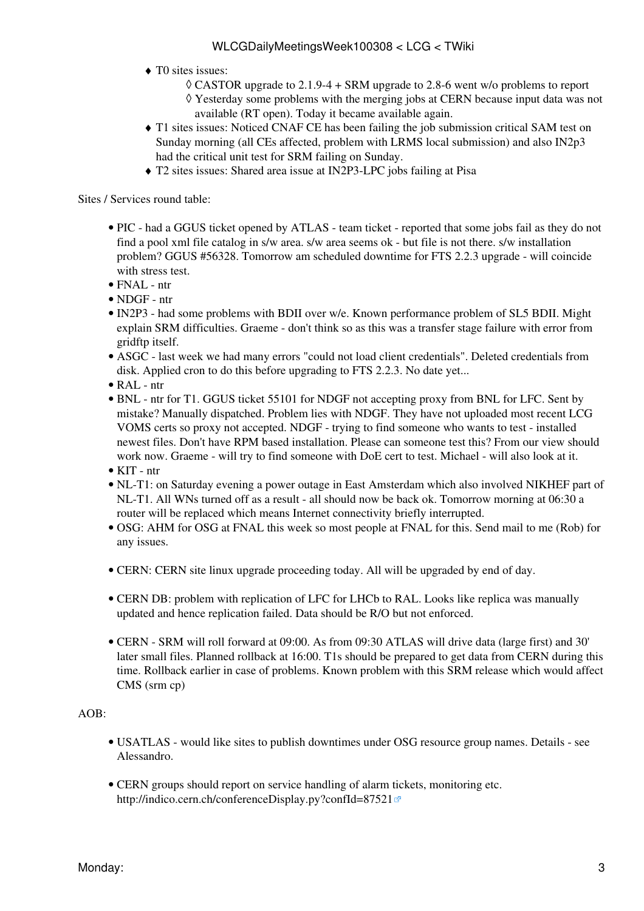- T0 sites issues: ♦
	- $\Diamond$  CASTOR upgrade to 2.1.9-4 + SRM upgrade to 2.8-6 went w/o problems to report Yesterday some problems with the merging jobs at CERN because input data was not ◊ available (RT open). Today it became available again.
- T1 sites issues: Noticed CNAF CE has been failing the job submission critical SAM test on ♦ Sunday morning (all CEs affected, problem with LRMS local submission) and also IN2p3 had the critical unit test for SRM failing on Sunday.
- ♦ T2 sites issues: Shared area issue at [IN2P3-](https://twiki.cern.ch/twiki/bin/view/LCG/IN2P3)LPC jobs failing at Pisa

- PIC had a GGUS ticket opened by ATLAS team ticket reported that some jobs fail as they do not find a pool xml file catalog in s/w area. s/w area seems ok - but file is not there. s/w installation problem? GGUS #56328. Tomorrow am scheduled downtime for FTS 2.2.3 upgrade - will coincide with stress test.
- FNAL ntr
- NDGF ntr
- [IN2P3](https://twiki.cern.ch/twiki/bin/view/LCG/IN2P3)  had some problems with BDII over w/e. Known performance problem of SL5 BDII. Might explain SRM difficulties. Graeme - don't think so as this was a transfer stage failure with error from gridftp itself.
- ASGC last week we had many errors "could not load client credentials". Deleted credentials from disk. Applied cron to do this before upgrading to FTS 2.2.3. No date yet...
- [RAL](https://twiki.cern.ch/twiki/bin/view/LCG/RAL) ntr
- BNL ntr for T1. GGUS ticket 55101 for NDGF not accepting proxy from BNL for LFC. Sent by mistake? Manually dispatched. Problem lies with NDGF. They have not uploaded most recent LCG [VOMS](https://twiki.cern.ch/twiki/bin/view/LCG/VOMS) certs so proxy not accepted. NDGF - trying to find someone who wants to test - installed newest files. Don't have RPM based installation. Please can someone test this? From our view should work now. Graeme - will try to find someone with [DoE](https://twiki.cern.ch/twiki/bin/edit/LCG/DoE?topicparent=LCG.WLCGDailyMeetingsWeek100308;nowysiwyg=1) cert to test. Michael - will also look at it.
- KIT ntr
- NL-T1: on Saturday evening a power outage in East Amsterdam which also involved NIKHEF part of NL-T1. All WNs turned off as a result - all should now be back ok. Tomorrow morning at 06:30 a router will be replaced which means Internet connectivity briefly interrupted.
- OSG: AHM for OSG at FNAL this week so most people at FNAL for this. Send mail to me (Rob) for any issues.
- CERN: CERN site linux upgrade proceeding today. All will be upgraded by end of day.
- CERN DB: problem with replication of LFC for LHCb to [RAL.](https://twiki.cern.ch/twiki/bin/view/LCG/RAL) Looks like replica was manually updated and hence replication failed. Data should be R/O but not enforced.
- CERN SRM will roll forward at 09:00. As from 09:30 ATLAS will drive data (large first) and 30' later small files. Planned rollback at 16:00. T1s should be prepared to get data from CERN during this time. Rollback earlier in case of problems. Known problem with this SRM release which would affect CMS (srm cp)

#### AOB:

- USATLAS would like sites to publish downtimes under OSG resource group names. Details see Alessandro.
- CERN groups should report on service handling of alarm tickets, monitoring etc. <http://indico.cern.ch/conferenceDisplay.py?confId=87521>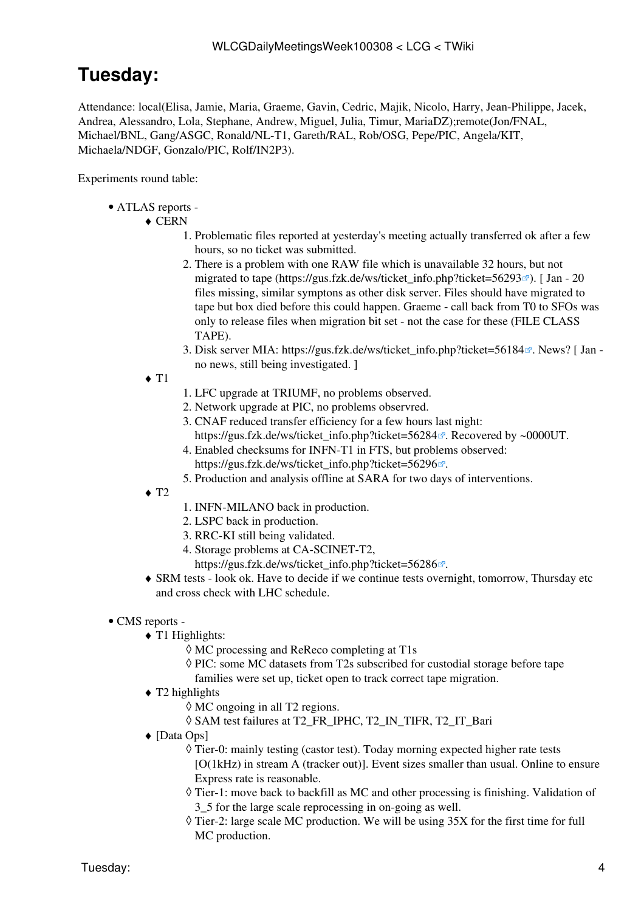## <span id="page-4-0"></span>**Tuesday:**

Attendance: local(Elisa, Jamie, Maria, Graeme, Gavin, Cedric, Majik, Nicolo, Harry, Jean-Philippe, Jacek, Andrea, Alessandro, Lola, Stephane, Andrew, Miguel, Julia, Timur, [MariaDZ\)](https://twiki.cern.ch/twiki/bin/edit/LCG/MariaDZ?topicparent=LCG.WLCGDailyMeetingsWeek100308;nowysiwyg=1);remote(Jon/FNAL, Michael/BNL, Gang/ASGC, Ronald/NL-T1, Gareth/RAL, Rob/OSG, Pepe/PIC, Angela/KIT, Michaela/NDGF, Gonzalo/PIC, Rolf/IN2P3).

Experiments round table:

ATLAS [reports](https://twiki.cern.ch/twiki/bin/view/Atlas/ADCOperationsDailyReports) - •

#### ◆ CERN

- 1. Problematic files reported at yesterday's meeting actually transferred ok after a few hours, so no ticket was submitted.
- 2. There is a problem with one RAW file which is unavailable 32 hours, but not migrated to tape ([https://gus.fzk.de/ws/ticket\\_info.php?ticket=56293](https://gus.fzk.de/ws/ticket_info.php?ticket=56293)<sup>{{}}</sup>. [Jan - 20} files missing, similar symptons as other disk server. Files should have migrated to tape but box died before this could happen. Graeme - call back from T0 to SFOs was only to release files when migration bit set - not the case for these (FILE CLASS TAPE).
- 3. Disk server MIA: [https://gus.fzk.de/ws/ticket\\_info.php?ticket=56184](https://gus.fzk.de/ws/ticket_info.php?ticket=56184)<sup>a</sup>. News? [Jan no news, still being investigated. ]
- $\triangleleft$  T<sub>1</sub>
- 1. LFC upgrade at TRIUMF, no problems observed.
- 2. Network upgrade at PIC, no problems observred.
- CNAF reduced transfer efficiency for a few hours last night: 3.
- [https://gus.fzk.de/ws/ticket\\_info.php?ticket=56284](https://gus.fzk.de/ws/ticket_info.php?ticket=56284)<sup> $\alpha$ </sup>. Recovered by ~0000UT.
- Enabled checksums for INFN-T1 in FTS, but problems observed: 4. [https://gus.fzk.de/ws/ticket\\_info.php?ticket=56296](https://gus.fzk.de/ws/ticket_info.php?ticket=56296) .
- 5. Production and analysis offline at SARA for two days of interventions.
- $\triangleleft$  T<sub>2</sub>
- 1. INFN-MILANO back in production.
- 2. LSPC back in production.
- 3. RRC-KI still being validated.
- 4. Storage problems at CA-SCINET-T2,
	- [https://gus.fzk.de/ws/ticket\\_info.php?ticket=56286](https://gus.fzk.de/ws/ticket_info.php?ticket=56286) .
- SRM tests look ok. Have to decide if we continue tests overnight, tomorrow, Thursday etc ♦ and cross check with LHC schedule.

#### • CMS [reports](https://twiki.cern.ch/twiki/bin/view/CMS/FacOps_WLCGdailyreports) -

- T1 Highlights: ♦
	- ◊ MC processing and [ReReco](https://twiki.cern.ch/twiki/bin/edit/LCG/ReReco?topicparent=LCG.WLCGDailyMeetingsWeek100308;nowysiwyg=1) completing at T1s
	- ◊ PIC: some MC datasets from T2s subscribed for custodial storage before tape
	- families were set up, ticket open to track correct tape migration.
- ◆ T2 highlights
	- ◊ MC ongoing in all T2 regions.
	- ◊ SAM test failures at T2\_FR\_IPHC, T2\_IN\_TIFR, T2\_IT\_Bari
- [Data Ops] ♦
	- Tier-0: mainly testing (castor test). Today morning expected higher rate tests ◊ [O(1kHz) in stream A (tracker out)]. Event sizes smaller than usual. Online to ensure Express rate is reasonable.
	- Tier-1: move back to backfill as MC and other processing is finishing. Validation of ◊ 3\_5 for the large scale reprocessing in on-going as well.
	- $\Diamond$  Tier-2: large scale MC production. We will be using 35X for the first time for full MC production.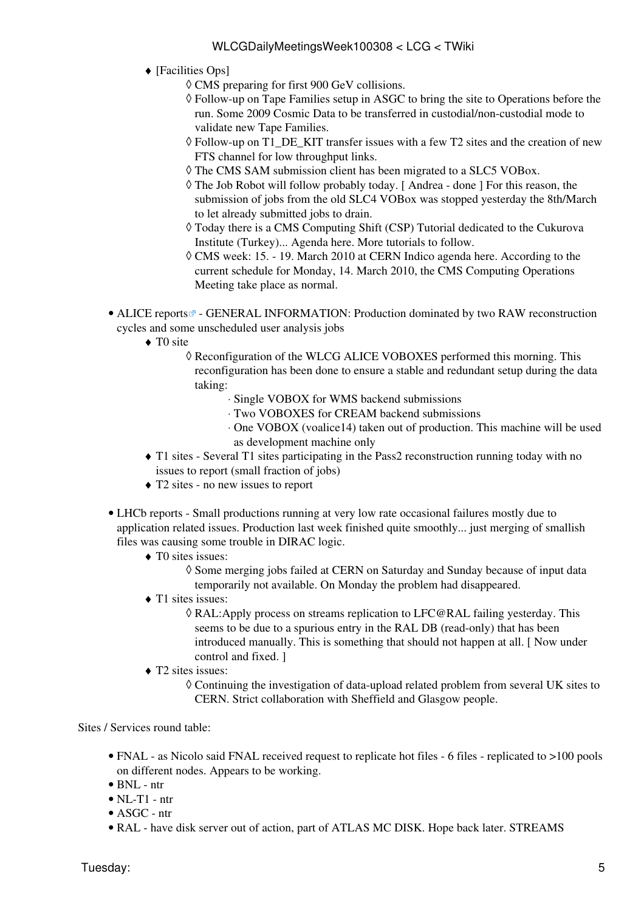- [Facilities Ops] ♦
	- ◊ CMS preparing for first 900 [GeV](https://twiki.cern.ch/twiki/bin/edit/LCG/GeV?topicparent=LCG.WLCGDailyMeetingsWeek100308;nowysiwyg=1) collisions.
	- Follow-up on Tape Families setup in ASGC to bring the site to Operations before the ◊ run. Some 2009 Cosmic Data to be transferred in custodial/non-custodial mode to validate new Tape Families.
	- Follow-up on T1\_DE\_KIT transfer issues with a few T2 sites and the creation of new ◊ FTS channel for low throughput links.
	- ◊ The CMS SAM submission client has been migrated to a SLC5 VOBox.
	- The Job Robot will follow probably today. [ Andrea done ] For this reason, the ◊ submission of jobs from the old SLC4 VOBox was stopped yesterday the 8th/March to let already submitted jobs to drain.
	- Today there is a CMS Computing Shift (CSP) Tutorial dedicated to the Cukurova ◊ Institute (Turkey)... Agenda here. More tutorials to follow.
	- CMS week: 15. 19. March 2010 at CERN Indico agenda here. According to the ◊ current schedule for Monday, 14. March 2010, the CMS Computing Operations Meeting take place as normal.
- ALICE [reports](http://alien2.cern.ch/index.php?option=com_content&view=article&id=68&Itemid=119)<sup>®</sup> GENERAL INFORMATION: Production dominated by two RAW reconstruction cycles and some unscheduled user analysis jobs
	- ◆ TO site
		- Reconfiguration of the WLCG ALICE VOBOXES performed this morning. This ◊ reconfiguration has been done to ensure a stable and redundant setup during the data taking:
			- ⋅ Single VOBOX for WMS backend submissions
			- ⋅ Two VOBOXES for [CREAM](https://twiki.cern.ch/twiki/bin/view/LCG/CREAM) backend submissions
			- One VOBOX (voalice14) taken out of production. This machine will be used ⋅ as development machine only
	- T1 sites Several T1 sites participating in the Pass2 reconstruction running today with no ♦ issues to report (small fraction of jobs)
	- ♦ T2 sites no new issues to report
- LHCb [reports](https://twiki.cern.ch/twiki/bin/view/LHCb/ProductionOperationsWLCGdailyReports)  Small productions running at very low rate occasional failures mostly due to application related issues. Production last week finished quite smoothly... just merging of smallish files was causing some trouble in DIRAC logic.
	- T0 sites issues: ♦
		- ◊ Some merging jobs failed at CERN on Saturday and Sunday because of input data temporarily not available. On Monday the problem had disappeared.
	- T1 sites issues: ♦
		- [RAL](https://twiki.cern.ch/twiki/bin/view/LCG/RAL):Apply process on streams replication to [LFC@RAL](mailto:LFC@RAL) failing yesterday. This ◊ seems to be due to a spurious entry in the [RAL](https://twiki.cern.ch/twiki/bin/view/LCG/RAL) DB (read-only) that has been introduced manually. This is something that should not happen at all. [ Now under control and fixed. ]
	- T2 sites issues: ♦
		- Continuing the investigation of data-upload related problem from several UK sites to ◊ CERN. Strict collaboration with Sheffield and Glasgow people.

- FNAL as Nicolo said FNAL received request to replicate hot files 6 files replicated to >100 pools on different nodes. Appears to be working.
- BNL ntr
- $\bullet$  NL-T1 ntr
- ASGC ntr
- [RAL](https://twiki.cern.ch/twiki/bin/view/LCG/RAL) have disk server out of action, part of ATLAS MC DISK. Hope back later. STREAMS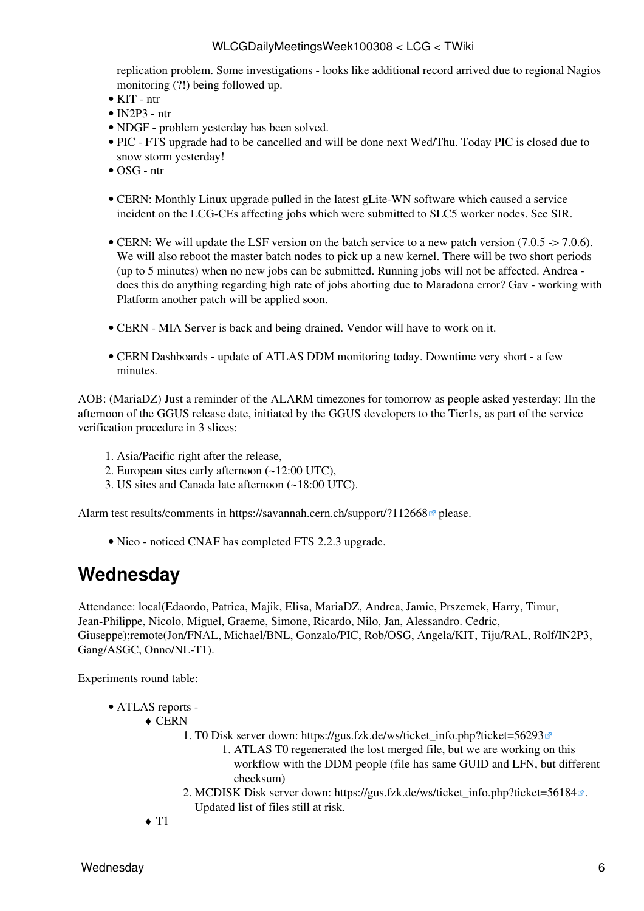replication problem. Some investigations - looks like additional record arrived due to regional Nagios monitoring (?!) being followed up.

- KIT ntr
- $\bullet$  [IN2P3](https://twiki.cern.ch/twiki/bin/view/LCG/IN2P3)  ntr
- NDGF problem vesterday has been solved.
- PIC FTS upgrade had to be cancelled and will be done next Wed/Thu. Today PIC is closed due to snow storm yesterday!
- OSG ntr
- CERN: Monthly Linux upgrade pulled in the latest gLite-WN software which caused a service incident on the LCG-CEs affecting jobs which were submitted to SLC5 worker nodes. See [SIR](https://twiki.cern.ch/twiki/bin/view/PESgroup/IncidentLCGCE0803210).
- CERN: We will update the [LSF](https://twiki.cern.ch/twiki/bin/view/LCG/LSF) version on the batch service to a new patch version (7.0.5 -> 7.0.6). We will also reboot the master batch nodes to pick up a new kernel. There will be two short periods (up to 5 minutes) when no new jobs can be submitted. Running jobs will not be affected. Andrea does this do anything regarding high rate of jobs aborting due to Maradona error? Gav - working with Platform another patch will be applied soon.
- CERN MIA Server is back and being drained. Vendor will have to work on it.
- CERN Dashboards update of ATLAS DDM monitoring today. Downtime very short a few minutes.

AOB: ([MariaDZ\)](https://twiki.cern.ch/twiki/bin/edit/LCG/MariaDZ?topicparent=LCG.WLCGDailyMeetingsWeek100308;nowysiwyg=1) Just a reminder of the ALARM timezones for tomorrow as people asked yesterday: IIn the afternoon of the GGUS release date, initiated by the GGUS developers to the Tier1s, as part of the service verification procedure in 3 slices:

- 1. Asia/Pacific right after the release,
- 2. European sites early afternoon (~12:00 UTC),
- 3. US sites and Canada late afternoon (~18:00 UTC).

Alarm test results/comments in <https://savannah.cern.ch/support/?112668>please.

• Nico - noticed CNAF has completed FTS 2.2.3 upgrade.

### <span id="page-6-0"></span>**Wednesday**

Attendance: local(Edaordo, Patrica, Majik, Elisa, [MariaDZ,](https://twiki.cern.ch/twiki/bin/edit/LCG/MariaDZ?topicparent=LCG.WLCGDailyMeetingsWeek100308;nowysiwyg=1) Andrea, Jamie, Prszemek, Harry, Timur, Jean-Philippe, Nicolo, Miguel, Graeme, Simone, Ricardo, Nilo, Jan, Alessandro. Cedric, Giuseppe);remote(Jon/FNAL, Michael/BNL, Gonzalo/PIC, Rob/OSG, Angela/KIT, Tiju/RAL, Rolf/IN2P3, Gang/ASGC, Onno/NL-T1).

Experiments round table:

- ATLAS [reports](https://twiki.cern.ch/twiki/bin/view/Atlas/ADCOperationsDailyReports)  •
	- CERN ♦
		- T0 Disk server down: [https://gus.fzk.de/ws/ticket\\_info.php?ticket=56293](https://gus.fzk.de/ws/ticket_info.php?ticket=56293) 1.
			- ATLAS T0 regenerated the lost merged file, but we are working on this 1. workflow with the DDM people (file has same GUID and LFN, but different checksum)
		- 2. MCDISK Disk server down: [https://gus.fzk.de/ws/ticket\\_info.php?ticket=56184](https://gus.fzk.de/ws/ticket_info.php?ticket=56184)<sup>a</sup>. Updated list of files still at risk.

 $\triangleleft$  T1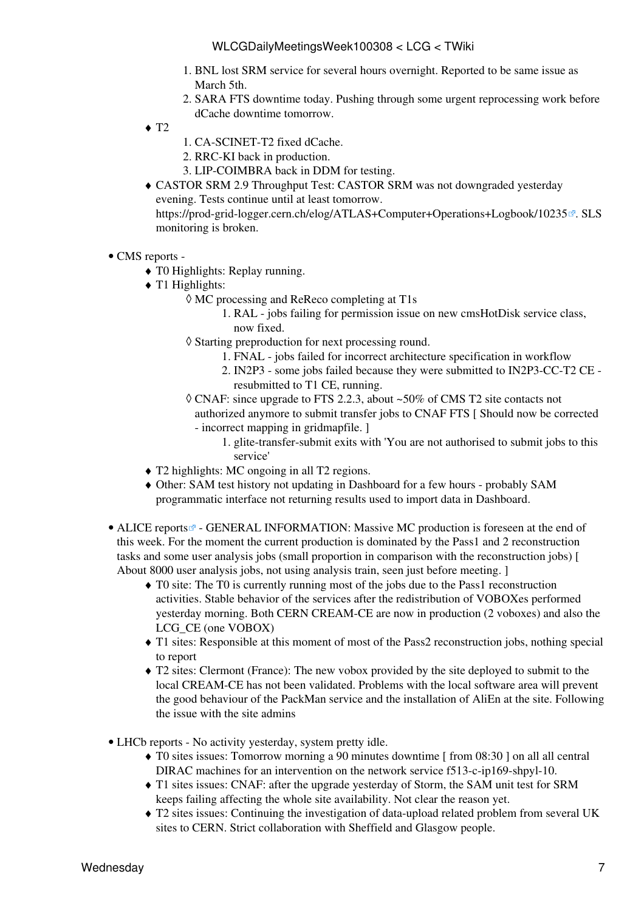- 1. BNL lost SRM service for several hours overnight. Reported to be same issue as March 5th.
- 2. SARA FTS downtime today. Pushing through some urgent reprocessing work before dCache downtime tomorrow.
- $\triangleleft$  T<sub>2</sub>
- 1. CA-SCINET-T2 fixed dCache.
- 2. RRC-KI back in production.
- 3. LIP-COIMBRA back in DDM for testing.
- CASTOR SRM 2.9 Throughput Test: CASTOR SRM was not downgraded yesterday ♦ evening. Tests continue until at least tomorrow. <https://prod-grid-logger.cern.ch/elog/ATLAS+Computer+Operations+Logbook/10235> a. SLS monitoring is broken.
- CMS [reports](https://twiki.cern.ch/twiki/bin/view/CMS/FacOps_WLCGdailyreports) -
	- ♦ T0 Highlights: Replay running.
	- T1 Highlights: ♦
		- MC processing and [ReReco](https://twiki.cern.ch/twiki/bin/edit/LCG/ReReco?topicparent=LCG.WLCGDailyMeetingsWeek100308;nowysiwyg=1) completing at T1s ◊
			- [RAL](https://twiki.cern.ch/twiki/bin/view/LCG/RAL) jobs failing for permission issue on new cmsHotDisk service class, 1. now fixed.
		- Starting preproduction for next processing round. ◊
			- 1. FNAL jobs failed for incorrect architecture specification in workflow
			- 2. [IN2P3](https://twiki.cern.ch/twiki/bin/view/LCG/IN2P3)  some jobs failed because they were submitted to [IN2P3](https://twiki.cern.ch/twiki/bin/view/LCG/IN2P3)-CC-T2 CE resubmitted to T1 CE, running.
		- CNAF: since upgrade to FTS 2.2.3, about ~50% of CMS T2 site contacts not ◊ authorized anymore to submit transfer jobs to CNAF FTS [ Should now be corrected - incorrect mapping in gridmapfile. ]
			- 1. glite-transfer-submit exits with 'You are not authorised to submit jobs to this service'
	- ♦ T2 highlights: MC ongoing in all T2 regions.
	- Other: SAM test history not updating in Dashboard for a few hours probably SAM ♦ programmatic interface not returning results used to import data in Dashboard.
- ALICE [reports](http://alien2.cern.ch/index.php?option=com_content&view=article&id=68&Itemid=119)<sup>®</sup> GENERAL INFORMATION: Massive MC production is foreseen at the end of this week. For the moment the current production is dominated by the Pass1 and 2 reconstruction tasks and some user analysis jobs (small proportion in comparison with the reconstruction jobs) [ About 8000 user analysis jobs, not using analysis train, seen just before meeting. ]
	- TO site: The TO is currently running most of the jobs due to the Pass1 reconstruction activities. Stable behavior of the services after the redistribution of VOBOXes performed yesterday morning. Both CERN [CREAM](https://twiki.cern.ch/twiki/bin/view/LCG/CREAM)-CE are now in production (2 voboxes) and also the LCG\_CE (one VOBOX)
	- T1 sites: Responsible at this moment of most of the Pass2 reconstruction jobs, nothing special ♦ to report
	- T2 sites: Clermont (France): The new vobox provided by the site deployed to submit to the ♦ local [CREAM](https://twiki.cern.ch/twiki/bin/view/LCG/CREAM)-CE has not been validated. Problems with the local software area will prevent the good behaviour of the [PackMan](https://twiki.cern.ch/twiki/bin/edit/LCG/PackMan?topicparent=LCG.WLCGDailyMeetingsWeek100308;nowysiwyg=1) service and the installation of [AliEn](https://twiki.cern.ch/twiki/bin/edit/LCG/AliEn?topicparent=LCG.WLCGDailyMeetingsWeek100308;nowysiwyg=1) at the site. Following the issue with the site admins
- LHCb [reports](https://twiki.cern.ch/twiki/bin/view/LHCb/ProductionOperationsWLCGdailyReports)  No activity yesterday, system pretty idle.
	- T0 sites issues: Tomorrow morning a 90 minutes downtime [ from 08:30 ] on all all central ♦ DIRAC machines for an intervention on the network service f513-c-ip169-shpyl-10.
	- T1 sites issues: CNAF: after the upgrade yesterday of Storm, the SAM unit test for SRM ♦ keeps failing affecting the whole site availability. Not clear the reason yet.
	- T2 sites issues: Continuing the investigation of data-upload related problem from several UK ♦ sites to CERN. Strict collaboration with Sheffield and Glasgow people.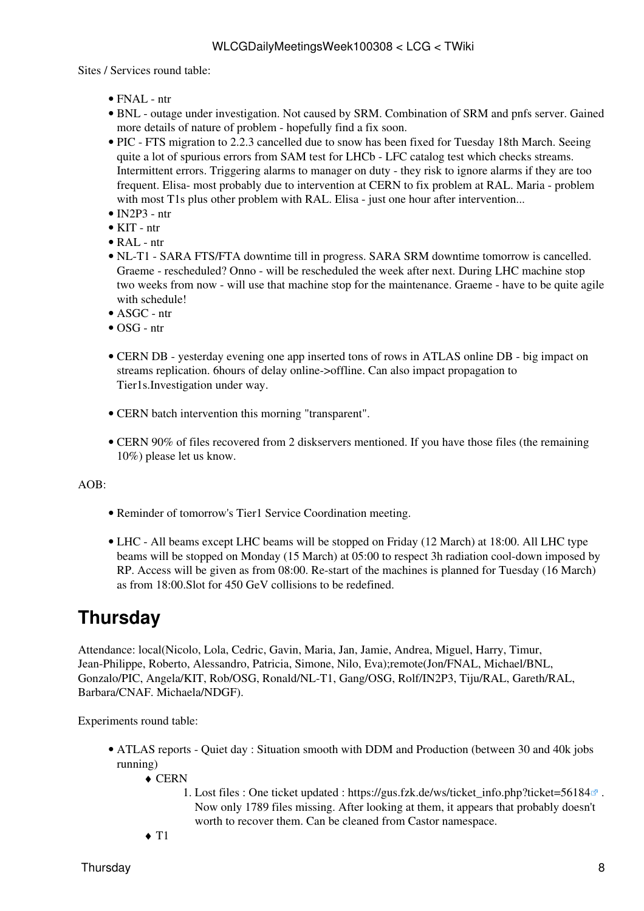- FNAL ntr
- BNL outage under investigation. Not caused by SRM. Combination of SRM and pnfs server. Gained more details of nature of problem - hopefully find a fix soon.
- PIC FTS migration to 2.2.3 cancelled due to snow has been fixed for Tuesday 18th March. Seeing quite a lot of spurious errors from SAM test for LHCb - LFC catalog test which checks streams. Intermittent errors. Triggering alarms to manager on duty - they risk to ignore alarms if they are too frequent. Elisa- most probably due to intervention at CERN to fix problem at [RAL.](https://twiki.cern.ch/twiki/bin/view/LCG/RAL) Maria - problem with most T1s plus other problem with [RAL.](https://twiki.cern.ch/twiki/bin/view/LCG/RAL) Elisa - just one hour after intervention...
- $\bullet$  [IN2P3](https://twiki.cern.ch/twiki/bin/view/LCG/IN2P3)  ntr
- KIT ntr
- [RAL](https://twiki.cern.ch/twiki/bin/view/LCG/RAL) ntr
- NL-T1 SARA FTS/FTA downtime till in progress. SARA SRM downtime tomorrow is cancelled. Graeme - rescheduled? Onno - will be rescheduled the week after next. During LHC machine stop two weeks from now - will use that machine stop for the maintenance. Graeme - have to be quite agile with schedule!
- ASGC ntr
- OSG ntr
- CERN DB yesterday evening one app inserted tons of rows in ATLAS online DB big impact on streams replication. 6hours of delay online->offline. Can also impact propagation to Tier1s.Investigation under way.
- CERN batch intervention this morning "transparent".
- CERN 90% of files recovered from 2 diskservers mentioned. If you have those files (the remaining 10%) please let us know.

AOB:

- Reminder of tomorrow's Tier1 Service Coordination meeting.
- LHC All beams except LHC beams will be stopped on Friday (12 March) at 18:00. All LHC type beams will be stopped on Monday (15 March) at 05:00 to respect 3h radiation cool-down imposed by RP. Access will be given as from 08:00. Re-start of the machines is planned for Tuesday (16 March) as from 18:00.Slot for 450 [GeV](https://twiki.cern.ch/twiki/bin/edit/LCG/GeV?topicparent=LCG.WLCGDailyMeetingsWeek100308;nowysiwyg=1) collisions to be redefined.

### <span id="page-8-0"></span>**Thursday**

Attendance: local(Nicolo, Lola, Cedric, Gavin, Maria, Jan, Jamie, Andrea, Miguel, Harry, Timur, Jean-Philippe, Roberto, Alessandro, Patricia, Simone, Nilo, Eva);remote(Jon/FNAL, Michael/BNL, Gonzalo/PIC, Angela/KIT, Rob/OSG, Ronald/NL-T1, Gang/OSG, Rolf/IN2P3, Tiju/RAL, Gareth/RAL, Barbara/CNAF. Michaela/NDGF).

Experiments round table:

- ATLAS [reports](https://twiki.cern.ch/twiki/bin/view/Atlas/ADCOperationsDailyReports)  Quiet day : Situation smooth with DDM and Production (between 30 and 40k jobs running)
	- CERN ♦
		- 1. Lost files : One ticket updated : https://gus.fzk.de/ws/ticket\_info.php?ticket=56184<sup>®</sup>. Now only 1789 files missing. After looking at them, it appears that probably doesn't worth to recover them. Can be cleaned from Castor namespace.
	- $\triangleleft$  T1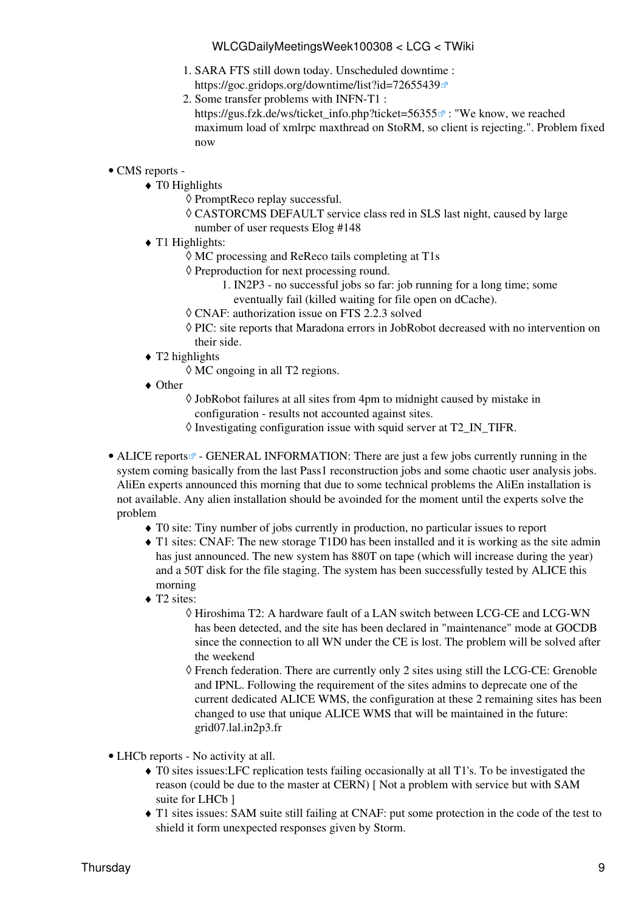- SARA FTS still down today. Unscheduled downtime : 1.
- <https://goc.gridops.org/downtime/list?id=72655439> 2. Some transfer problems with INFN-T1 :
	- https://gus.fzk.de/ws/ticket info.php?ticket=56355 $\sigma$ : "We know, we reached maximum load of xmlrpc maxthread on [StoRM,](https://twiki.cern.ch/twiki/bin/view/LCG/StoRM) so client is rejecting.". Problem fixed now

#### • CMS [reports](https://twiki.cern.ch/twiki/bin/view/CMS/FacOps_WLCGdailyreports) -

- $\triangleleft$  T0 Highlights
	- ◊ [PromptReco](https://twiki.cern.ch/twiki/bin/edit/LCG/PromptReco?topicparent=LCG.WLCGDailyMeetingsWeek100308;nowysiwyg=1) replay successful.
	- CASTORCMS DEFAULT service class red in SLS last night, caused by large ◊ number of user requests Elog #148
- ◆ T1 Highlights:
	- ◊ MC processing and [ReReco](https://twiki.cern.ch/twiki/bin/edit/LCG/ReReco?topicparent=LCG.WLCGDailyMeetingsWeek100308;nowysiwyg=1) tails completing at T1s
	- ◊ Preproduction for next processing round.
		- 1. [IN2P3](https://twiki.cern.ch/twiki/bin/view/LCG/IN2P3)  no successful jobs so far: job running for a long time; some
		- eventually fail (killed waiting for file open on dCache).
	- ◊ CNAF: authorization issue on FTS 2.2.3 solved
	- PIC: site reports that Maradona errors in [JobRobot](https://twiki.cern.ch/twiki/bin/edit/LCG/JobRobot?topicparent=LCG.WLCGDailyMeetingsWeek100308;nowysiwyg=1) decreased with no intervention on ◊ their side.
- T2 highlights ♦
	- ◊ MC ongoing in all T2 regions.
- Other ♦
	- [JobRobot](https://twiki.cern.ch/twiki/bin/edit/LCG/JobRobot?topicparent=LCG.WLCGDailyMeetingsWeek100308;nowysiwyg=1) failures at all sites from 4pm to midnight caused by mistake in ◊ configuration - results not accounted against sites.
	- ◊ Investigating configuration issue with squid server at T2\_IN\_TIFR.
- ALICE [reports](http://alien2.cern.ch/index.php?option=com_content&view=article&id=68&Itemid=119)<sup>®</sup> GENERAL INFORMATION: There are just a few jobs currently running in the system coming basically from the last Pass1 reconstruction jobs and some chaotic user analysis jobs. [AliEn](https://twiki.cern.ch/twiki/bin/edit/LCG/AliEn?topicparent=LCG.WLCGDailyMeetingsWeek100308;nowysiwyg=1) experts announced this morning that due to some technical problems the [AliEn](https://twiki.cern.ch/twiki/bin/edit/LCG/AliEn?topicparent=LCG.WLCGDailyMeetingsWeek100308;nowysiwyg=1) installation is not available. Any alien installation should be avoinded for the moment until the experts solve the problem
	- ♦ T0 site: Tiny number of jobs currently in production, no particular issues to report
	- T1 sites: CNAF: The new storage [T1D0](https://twiki.cern.ch/twiki/bin/edit/LCG/T1D0?topicparent=LCG.WLCGDailyMeetingsWeek100308;nowysiwyg=1) has been installed and it is working as the site admin ♦ has just announced. The new system has 880T on tape (which will increase during the year) and a 50T disk for the file staging. The system has been successfully tested by ALICE this morning
	- ◆ T2 sites:
		- $\Diamond$  Hiroshima T2: A hardware fault of a LAN switch between LCG-CE and LCG-WN has been detected, and the site has been declared in "maintenance" mode at GOCDB since the connection to all WN under the CE is lost. The problem will be solved after the weekend
		- French federation. There are currently only 2 sites using still the LCG-CE: Grenoble ◊ and IPNL. Following the requirement of the sites admins to deprecate one of the current dedicated ALICE WMS, the configuration at these 2 remaining sites has been changed to use that unique ALICE WMS that will be maintained in the future: grid07.lal.in2p3.fr
- LHCb [reports](https://twiki.cern.ch/twiki/bin/view/LHCb/ProductionOperationsWLCGdailyReports)  No activity at all.
	- T0 sites issues:LFC replication tests failing occasionally at all T1's. To be investigated the ♦ reason (could be due to the master at CERN) [ Not a problem with service but with SAM suite for LHCb ]
	- T1 sites issues: SAM suite still failing at CNAF: put some protection in the code of the test to ♦ shield it form unexpected responses given by Storm.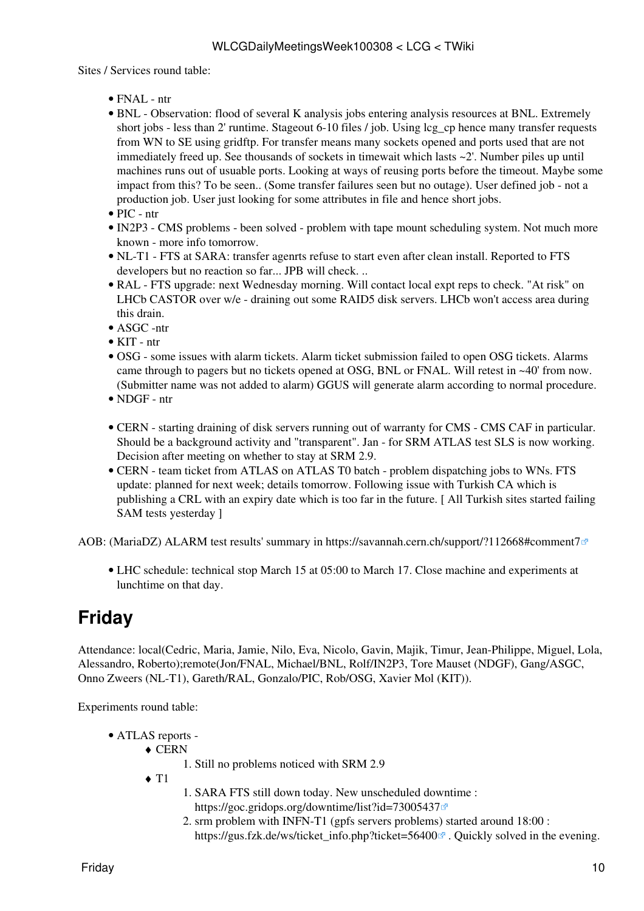- FNAL ntr
- BNL Observation: flood of several K analysis jobs entering analysis resources at BNL. Extremely short jobs - less than 2' runtime. Stageout 6-10 files / job. Using lcg cp hence many transfer requests from WN to SE using gridftp. For transfer means many sockets opened and ports used that are not immediately freed up. See thousands of sockets in timewait which lasts ~2'. Number piles up until machines runs out of usuable ports. Looking at ways of reusing ports before the timeout. Maybe some impact from this? To be seen.. (Some transfer failures seen but no outage). User defined job - not a production job. User just looking for some attributes in file and hence short jobs.
- PIC ntr
- [IN2P3](https://twiki.cern.ch/twiki/bin/view/LCG/IN2P3)  CMS problems been solved problem with tape mount scheduling system. Not much more known - more info tomorrow.
- NL-T1 FTS at SARA: transfer agenrts refuse to start even after clean install. Reported to FTS developers but no reaction so far... JPB will check. ..
- [RAL](https://twiki.cern.ch/twiki/bin/view/LCG/RAL) FTS upgrade: next Wednesday morning. Will contact local expt reps to check. "At risk" on LHCb CASTOR over w/e - draining out some RAID5 disk servers. LHCb won't access area during this drain.
- ASGC -ntr
- KIT ntr
- OSG some issues with alarm tickets. Alarm ticket submission failed to open OSG tickets. Alarms came through to pagers but no tickets opened at OSG, BNL or FNAL. Will retest in ~40' from now. (Submitter name was not added to alarm) GGUS will generate alarm according to normal procedure.
- NDGF ntr
- CERN starting draining of disk servers running out of warranty for CMS CMS CAF in particular. Should be a background activity and "transparent". Jan - for SRM ATLAS test SLS is now working. Decision after meeting on whether to stay at SRM 2.9.
- CERN team ticket from ATLAS on ATLAS T0 batch problem dispatching jobs to WNs. FTS update: planned for next week; details tomorrow. Following issue with Turkish CA which is publishing a CRL with an expiry date which is too far in the future. [ All Turkish sites started failing SAM tests yesterday ]

AOB: ([MariaDZ\)](https://twiki.cern.ch/twiki/bin/edit/LCG/MariaDZ?topicparent=LCG.WLCGDailyMeetingsWeek100308;nowysiwyg=1) ALARM test results' summary in <https://savannah.cern.ch/support/?112668#comment7>

• LHC schedule: technical stop March 15 at 05:00 to March 17. Close machine and experiments at lunchtime on that day.

# <span id="page-10-0"></span>**Friday**

Attendance: local(Cedric, Maria, Jamie, Nilo, Eva, Nicolo, Gavin, Majik, Timur, Jean-Philippe, Miguel, Lola, Alessandro, Roberto);remote(Jon/FNAL, Michael/BNL, Rolf/IN2P3, Tore Mauset (NDGF), Gang/ASGC, Onno Zweers (NL-T1), Gareth/RAL, Gonzalo/PIC, Rob/OSG, Xavier Mol (KIT)).

Experiments round table:

- ATLAS [reports](https://twiki.cern.ch/twiki/bin/view/Atlas/ADCOperationsDailyReports)  •
	- CERN ♦
		- 1. Still no problems noticed with SRM 2.9
	- $\triangleleft$  T<sub>1</sub>
- SARA FTS still down today. New unscheduled downtime : 1. <https://goc.gridops.org/downtime/list?id=73005437>
- 2. srm problem with INFN-T1 (gpfs servers problems) started around 18:00 : [https://gus.fzk.de/ws/ticket\\_info.php?ticket=56400](https://gus.fzk.de/ws/ticket_info.php?ticket=56400) $\sigma$ . Quickly solved in the evening.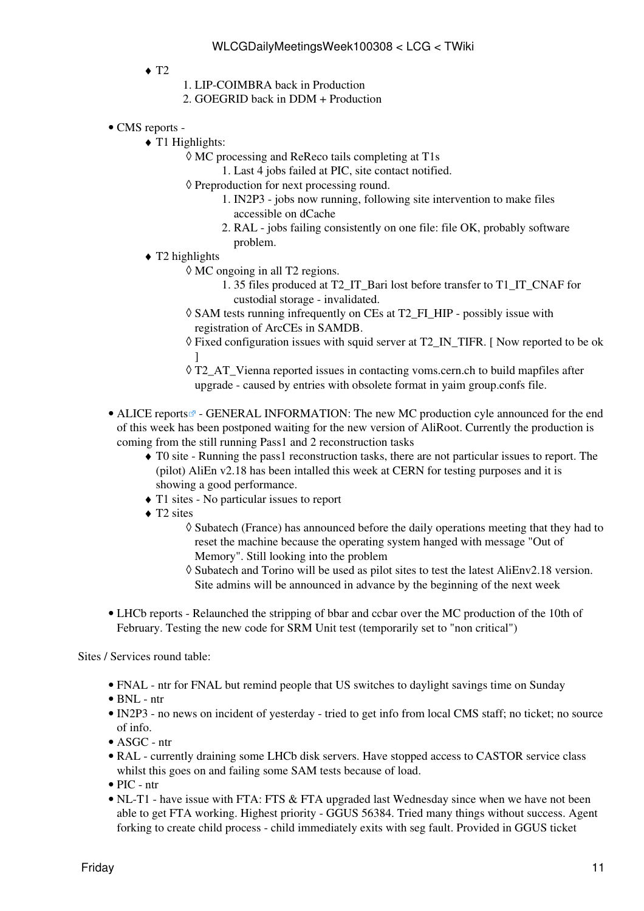- $\triangleleft$  T<sub>2</sub>
- 1. LIP-COIMBRA back in Production
- 2. GOEGRID back in DDM + Production
- CMS [reports](https://twiki.cern.ch/twiki/bin/view/CMS/FacOps_WLCGdailyreports) -
	- T1 Highlights: ♦
		- MC processing and [ReReco](https://twiki.cern.ch/twiki/bin/edit/LCG/ReReco?topicparent=LCG.WLCGDailyMeetingsWeek100308;nowysiwyg=1) tails completing at T1s ◊
			- 1. Last 4 jobs failed at PIC, site contact notified.
		- ◊ Preproduction for next processing round.
			- 1. [IN2P3](https://twiki.cern.ch/twiki/bin/view/LCG/IN2P3)  jobs now running, following site intervention to make files accessible on dCache
			- [RAL](https://twiki.cern.ch/twiki/bin/view/LCG/RAL) jobs failing consistently on one file: file OK, probably software 2. problem.
	- T2 highlights ♦
		- MC ongoing in all T2 regions. ◊
			- 35 files produced at T2\_IT\_Bari lost before transfer to T1\_IT\_CNAF for 1. custodial storage - invalidated.
		- ◊ SAM tests running infrequently on CEs at T2\_FI\_HIP possibly issue with registration of [ArcCEs](https://twiki.cern.ch/twiki/bin/edit/LCG/ArcCEs?topicparent=LCG.WLCGDailyMeetingsWeek100308;nowysiwyg=1) in SAMDB.
		- Fixed configuration issues with squid server at T2\_IN\_TIFR. [ Now reported to be ok ◊ ]
		- T2\_AT\_Vienna reported issues in contacting voms.cern.ch to build mapfiles after ◊ upgrade - caused by entries with obsolete format in yaim group.confs file.
- ALICE [reports](http://alien2.cern.ch/index.php?option=com_content&view=article&id=68&Itemid=119)<sup>®</sup> GENERAL INFORMATION: The new MC production cyle announced for the end of this week has been postponed waiting for the new version of [AliRoot](https://twiki.cern.ch/twiki/bin/edit/LCG/AliRoot?topicparent=LCG.WLCGDailyMeetingsWeek100308;nowysiwyg=1). Currently the production is coming from the still running Pass1 and 2 reconstruction tasks
	- T0 site Running the pass1 reconstruction tasks, there are not particular issues to report. The ♦ (pilot) [AliEn](https://twiki.cern.ch/twiki/bin/edit/LCG/AliEn?topicparent=LCG.WLCGDailyMeetingsWeek100308;nowysiwyg=1) v2.18 has been intalled this week at CERN for testing purposes and it is showing a good performance.
	- ♦ T1 sites No particular issues to report
	- ◆ T2 sites
		- ◊ Subatech (France) has announced before the daily operations meeting that they had to reset the machine because the operating system hanged with message "Out of Memory". Still looking into the problem
		- Subatech and Torino will be used as pilot sites to test the latest [AliEnv2](https://twiki.cern.ch/twiki/bin/edit/LCG/AliEnv2?topicparent=LCG.WLCGDailyMeetingsWeek100308;nowysiwyg=1).18 version. ◊ Site admins will be announced in advance by the beginning of the next week
- LHCb [reports](https://twiki.cern.ch/twiki/bin/view/LHCb/ProductionOperationsWLCGdailyReports)  Relaunched the stripping of bbar and ccbar over the MC production of the 10th of February. Testing the new code for SRM Unit test (temporarily set to "non critical")

- FNAL ntr for FNAL but remind people that US switches to daylight savings time on Sunday
- BNL ntr
- [IN2P3](https://twiki.cern.ch/twiki/bin/view/LCG/IN2P3)  no news on incident of yesterday tried to get info from local CMS staff; no ticket; no source of info.
- ASGC ntr
- [RAL](https://twiki.cern.ch/twiki/bin/view/LCG/RAL) currently draining some LHCb disk servers. Have stopped access to CASTOR service class whilst this goes on and failing some SAM tests because of load.
- PIC ntr
- NL-T1 have issue with FTA: FTS & FTA upgraded last Wednesday since when we have not been able to get FTA working. Highest priority - GGUS 56384. Tried many things without success. Agent forking to create child process - child immediately exits with seg fault. Provided in GGUS ticket